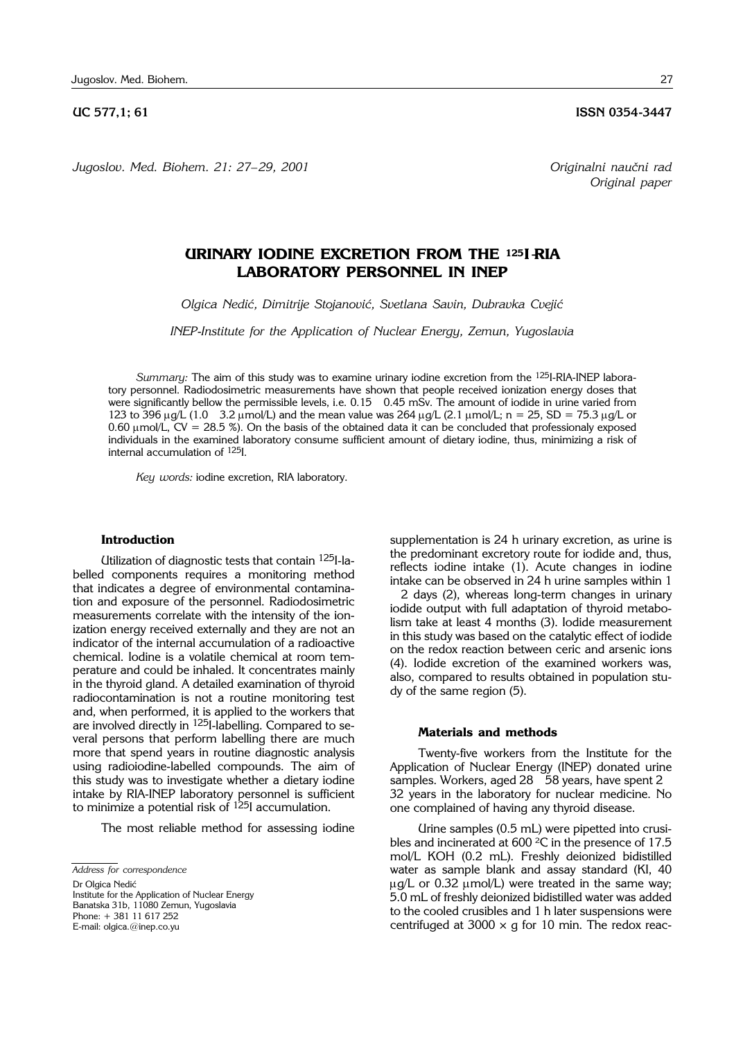*Jugoslov. Med. Biohem. 21: 27*– *29, 2001 Originalni nau~ni rad*

## **UC 577,1; 61 ISSN 0354-3447**

*Original paper*

# **URINARY IODINE EXCRETION FROM THE 125I**-**RIA LABORATORY PERSONNEL IN INEP**

*Olgica Nedi}, Dimitrije Stojanovi}, Svetlana Savin, Dubravka Cveji}*

*INEP*-*Institute for the Application of Nuclear Energy, Zemun, Yugoslavia*

*Summary:* The aim of this study was to examine urinary iodine excretion from the 125I-RIA-INEP laboratory personnel. Radiodosimetric measurements have shown that people received ionization energy doses that were significantly bellow the permissible levels, i.e. 0.15 0.45 mSv. The amount of iodide in urine varied from 123 to 396  $\mu q/L$  (1.0 3.2  $\mu$ mol/L) and the mean value was 264  $\mu q/L$  (2.1  $\mu$ mol/L; n = 25, SD = 75.3  $\mu q/L$  or 0.60  $\mu$ mol/L, CV = 28.5 %). On the basis of the obtained data it can be concluded that professionaly exposed individuals in the examined laboratory consume sufficient amount of dietary iodine, thus, minimizing a risk of internal accumulation of 125I.

*Key words:* iodine excretion, RIA laboratory.

#### **Introduction**

Utilization of diagnostic tests that contain 125I-labelled components requires a monitoring method that indicates a degree of environmental contamination and exposure of the personnel. Radiodosimetric measurements correlate with the intensity of the ionization energy received externally and they are not an indicator of the internal accumulation of a radioactive chemical. Iodine is a volatile chemical at room temperature and could be inhaled. It concentrates mainly in the thyroid gland. A detailed examination of thyroid radiocontamination is not a routine monitoring test and, when performed, it is applied to the workers that are involved directly in 125I-labelling. Compared to several persons that perform labelling there are much more that spend years in routine diagnostic analysis using radioiodine-labelled compounds. The aim of this study was to investigate whether a dietary iodine intake by RIA-INEP laboratory personnel is sufficient to minimize a potential risk of  $^{125}$ I accumulation.

The most reliable method for assessing iodine

Dr Olgica Nedić Institute for the Application of Nuclear Energy

Phone: + 381 11 617 252 E-mail: olgica.@inep.co.yu

supplementation is 24 h urinary excretion, as urine is the predominant excretory route for iodide and, thus, reflects iodine intake (1). Acute changes in iodine intake can be observed in 24 h urine samples within 1

2 days (2), whereas long-term changes in urinary iodide output with full adaptation of thyroid metabolism take at least 4 months (3). Iodide measurement in this study was based on the catalytic effect of iodide on the redox reaction between ceric and arsenic ions (4). Iodide excretion of the examined workers was, also, compared to results obtained in population study of the same region (5).

#### **Materials and methods**

Twenty-five workers from the Institute for the Application of Nuclear Energy (INEP) donated urine samples. Workers, aged 28 58 years, have spent 2 32 years in the laboratory for nuclear medicine. No one complained of having any thyroid disease.

Urine samples (0.5 mL) were pipetted into crusibles and incinerated at 600 °C in the presence of 17.5 mol/L KOH (0.2 mL). Freshly deionized bidistilled water as sample blank and assay standard (KI, 40  $\mu$ g/L or 0.32  $\mu$ mol/L) were treated in the same way; 5.0 mL of freshly deionized bidistilled water was added to the cooled crusibles and 1 h later suspensions were centrifuged at 3000  $\times$  g for 10 min. The redox reac-

*Address for correspondence*

Banatska 31b, 11080 Zemun, Yugoslavia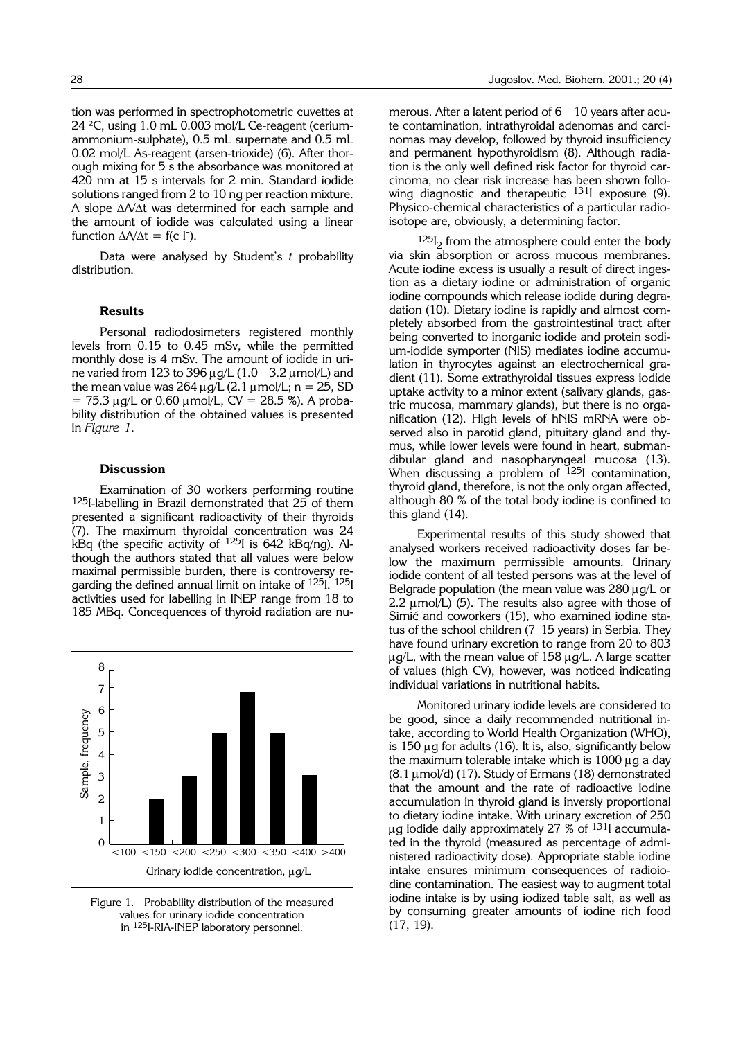24 °C, using 1.0 mL 0.003 mol/L Ce-reagent (ceriumammonium-sulphate), 0.5 mL supernate and 0.5 mL 0.02 mol/L As-reagent (arsen-trioxide) (6). After thorough mixing for 5 s the absorbance was monitored at 420 nm at 15 s intervals for 2 min. Standard iodide solutions ranged from 2 to 10 ng per reaction mixture. A slope  $\Delta A/\Delta t$  was determined for each sample and the amount of iodide was calculated using a linear function  $\Delta A/\Delta t = f(c \, \Gamma)$ .

Data were analysed by Student's *t* probability distribution.

## **Results**

Personal radiodosimeters registered monthly levels from 0.15 to 0.45 mSv, while the permitted monthly dose is 4 mSv. The amount of iodide in urine varied from 123 to 396  $\mu$ g/L (1.0 3.2  $\mu$ mol/L) and the mean value was  $264 \mu g/L$  (2.1  $\mu$ mol/L; n = 25, SD  $= 75.3 \mu g/L$  or 0.60  $\mu$ mol/L, CV = 28.5 %). A probability distribution of the obtained values is presented in *Figure 1.*

## **Discussion**

Examination of 30 workers performing routine 125I-labelling in Brazil demonstrated that 25 of them presented a significant radioactivity of their thyroids (7). The maximum thyroidal concentration was 24 kBq (the specific activity of  $125$ I is 642 kBq/nq). Although the authors stated that all values were below maximal permissible burden, there is controversy regarding the defined annual limit on intake of 125I. 125I activities used for labelling in INEP range from 18 to 185 MBq. Concequences of thyroid radiation are nu-



Figure 1. Probability distribution of the measured values for urinary iodide concentration in 125I-RIA-INEP laboratory personnel.

merous. After a latent period of 6 10 years after acute contamination, intrathyroidal adenomas and carcinomas may develop, followed by thyroid insufficiency and permanent hypothyroidism (8). Although radiation is the only well defined risk factor for thyroid carcinoma, no clear risk increase has been shown following diagnostic and therapeutic <sup>131</sup>I exposure (9). Physico-chemical characteristics of a particular radioisotope are, obviously, a determining factor.

 $^{125}I_2$  from the atmosphere could enter the body via skin absorption or across mucous membranes. Acute iodine excess is usually a result of direct ingestion as a dietary iodine or administration of organic iodine compounds which release iodide during degradation (10). Dietary iodine is rapidly and almost completely absorbed from the gastrointestinal tract after being converted to inorganic iodide and protein sodium-iodide symporter (NIS) mediates iodine accumulation in thyrocytes against an electrochemical gradient (11). Some extrathyroidal tissues express iodide uptake activity to a minor extent (salivary glands, gastric mucosa, mammary glands), but there is no organification (12). High levels of hNIS mRNA were observed also in parotid gland, pituitary gland and thymus, while lower levels were found in heart, submandibular gland and nasopharyngeal mucosa (13). When discussing a problem of <sup>125</sup>I contamination, thyroid gland, therefore, is not the only organ affected, although 80 % of the total body iodine is confined to this gland (14).

Experimental results of this study showed that analysed workers received radioactivity doses far below the maximum permissible amounts. Urinary iodide content of all tested persons was at the level of Belgrade population (the mean value was  $280 \mu g/L$  or 2.2  $\mu$ mol/L) (5). The results also agree with those of Simić and coworkers (15), who examined iodine status of the school children (7 15 years) in Serbia. They have found urinary excretion to range from 20 to 803  $\mu$ g/L, with the mean value of 158  $\mu$ g/L. A large scatter of values (high CV), however, was noticed indicating individual variations in nutritional habits.

Monitored urinary iodide levels are considered to be good, since a daily recommended nutritional intake, according to World Health Organization (WHO), is 150  $\mu$ g for adults (16). It is, also, significantly below the maximum tolerable intake which is  $1000 \mu$ g a day  $(8.1 \mu$ mol/d) (17). Study of Ermans (18) demonstrated that the amount and the rate of radioactive iodine accumulation in thyroid gland is inversly proportional to dietary iodine intake. With urinary excretion of 250 µg iodide daily approximately 27  $%$  of  $131$  accumulated in the thyroid (measured as percentage of administered radioactivity dose). Appropriate stable iodine intake ensures minimum consequences of radioiodine contamination. The easiest way to augment total iodine intake is by using iodized table salt, as well as by consuming greater amounts of iodine rich food (17, 19).